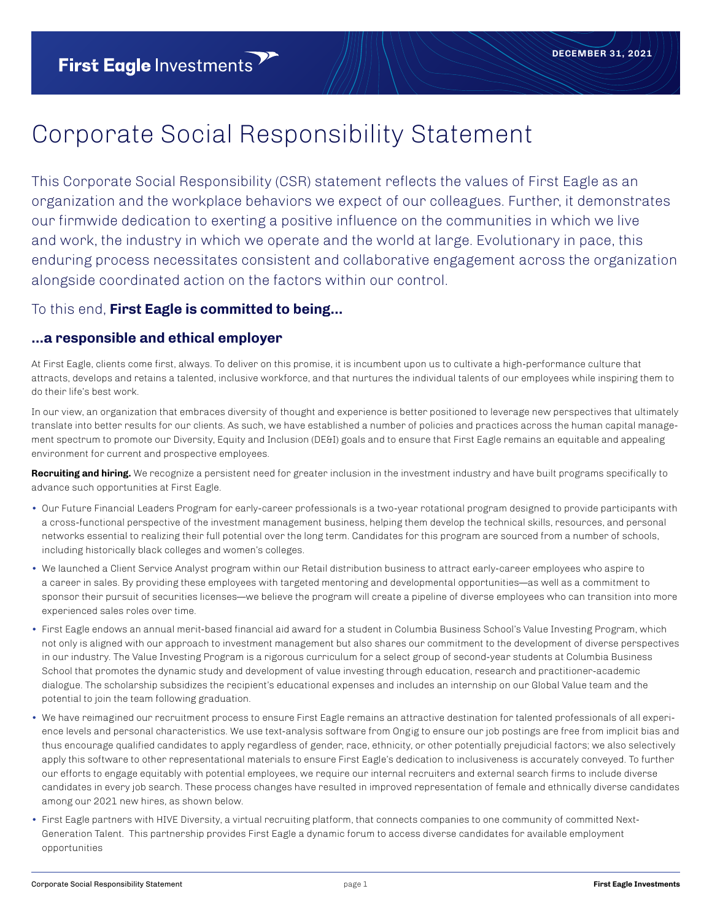## Corporate Social Responsibility Statement

This Corporate Social Responsibility (CSR) statement reflects the values of First Eagle as an organization and the workplace behaviors we expect of our colleagues. Further, it demonstrates our firmwide dedication to exerting a positive influence on the communities in which we live and work, the industry in which we operate and the world at large. Evolutionary in pace, this enduring process necessitates consistent and collaborative engagement across the organization alongside coordinated action on the factors within our control.

#### To this end, **First Eagle is committed to being…**

#### **…a responsible and ethical employer**

At First Eagle, clients come first, always. To deliver on this promise, it is incumbent upon us to cultivate a high-performance culture that attracts, develops and retains a talented, inclusive workforce, and that nurtures the individual talents of our employees while inspiring them to do their life's best work.

In our view, an organization that embraces diversity of thought and experience is better positioned to leverage new perspectives that ultimately translate into better results for our clients. As such, we have established a number of policies and practices across the human capital management spectrum to promote our Diversity, Equity and Inclusion (DE&I) goals and to ensure that First Eagle remains an equitable and appealing environment for current and prospective employees.

**Recruiting and hiring.** We recognize a persistent need for greater inclusion in the investment industry and have built programs specifically to advance such opportunities at First Eagle.

- Our Future Financial Leaders Program for early-career professionals is a two-year rotational program designed to provide participants with a cross-functional perspective of the investment management business, helping them develop the technical skills, resources, and personal networks essential to realizing their full potential over the long term. Candidates for this program are sourced from a number of schools, including historically black colleges and women's colleges.
- We launched a Client Service Analyst program within our Retail distribution business to attract early-career employees who aspire to a career in sales. By providing these employees with targeted mentoring and developmental opportunities—as well as a commitment to sponsor their pursuit of securities licenses—we believe the program will create a pipeline of diverse employees who can transition into more experienced sales roles over time.
- First Eagle endows an annual merit-based financial aid award for a student in Columbia Business School's Value Investing Program, which not only is aligned with our approach to investment management but also shares our commitment to the development of diverse perspectives in our industry. The Value Investing Program is a rigorous curriculum for a select group of second-year students at Columbia Business School that promotes the dynamic study and development of value investing through education, research and practitioner-academic dialogue. The scholarship subsidizes the recipient's educational expenses and includes an internship on our Global Value team and the potential to join the team following graduation.
- We have reimagined our recruitment process to ensure First Eagle remains an attractive destination for talented professionals of all experience levels and personal characteristics. We use text-analysis software from Ongig to ensure our job postings are free from implicit bias and thus encourage qualified candidates to apply regardless of gender, race, ethnicity, or other potentially prejudicial factors; we also selectively apply this software to other representational materials to ensure First Eagle's dedication to inclusiveness is accurately conveyed. To further our efforts to engage equitably with potential employees, we require our internal recruiters and external search firms to include diverse candidates in every job search. These process changes have resulted in improved representation of female and ethnically diverse candidates among our 2021 new hires, as shown below.
- First Eagle partners with HIVE Diversity, a virtual recruiting platform, that connects companies to one community of committed Next-Generation Talent. This partnership provides First Eagle a dynamic forum to access diverse candidates for available employment opportunities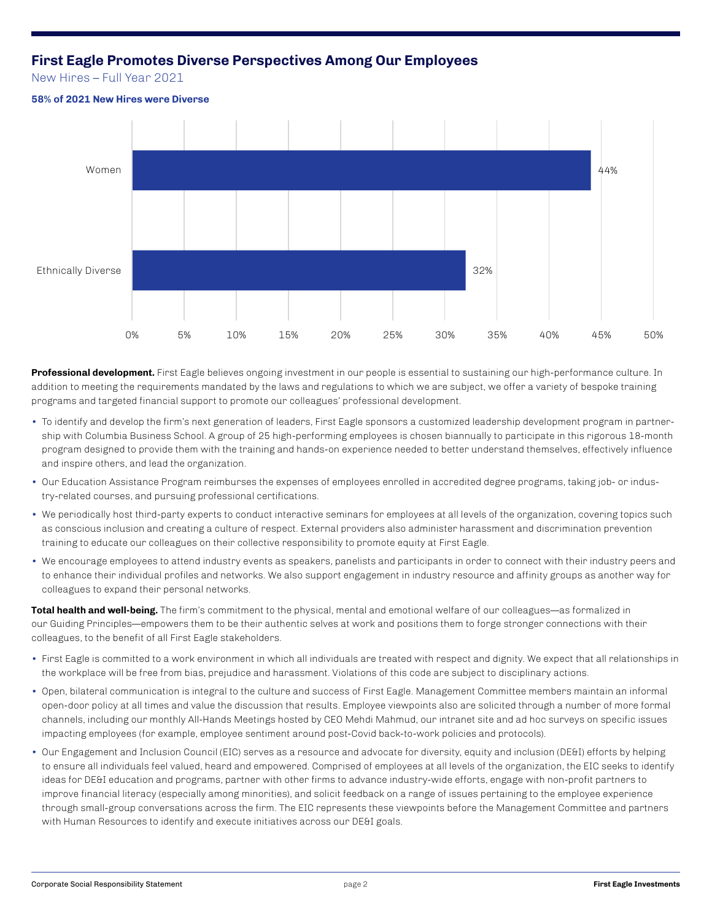#### **First Eagle Promotes Diverse Perspectives Among Our Employees**

New Hires – Full Year 2021

**58% of 2021 New Hires were Diverse**

# 32% 44% 0% 5% 10% 15% 20% 25% 30% 35% 40% 45% 50% Ethnically Diverse Women

**Professional development.** First Eagle believes ongoing investment in our people is essential to sustaining our high-performance culture. In addition to meeting the requirements mandated by the laws and regulations to which we are subject, we offer a variety of bespoke training programs and targeted financial support to promote our colleagues' professional development.

- To identify and develop the firm's next generation of leaders, First Eagle sponsors a customized leadership development program in partnership with Columbia Business School. A group of 25 high-performing employees is chosen biannually to participate in this rigorous 18-month program designed to provide them with the training and hands-on experience needed to better understand themselves, effectively influence and inspire others, and lead the organization.
- Our Education Assistance Program reimburses the expenses of employees enrolled in accredited degree programs, taking job- or industry-related courses, and pursuing professional certifications.
- We periodically host third-party experts to conduct interactive seminars for employees at all levels of the organization, covering topics such as conscious inclusion and creating a culture of respect. External providers also administer harassment and discrimination prevention training to educate our colleagues on their collective responsibility to promote equity at First Eagle.
- We encourage employees to attend industry events as speakers, panelists and participants in order to connect with their industry peers and to enhance their individual profiles and networks. We also support engagement in industry resource and affinity groups as another way for colleagues to expand their personal networks.

**Total health and well-being.** The firm's commitment to the physical, mental and emotional welfare of our colleagues—as formalized in our Guiding Principles—empowers them to be their authentic selves at work and positions them to forge stronger connections with their colleagues, to the benefit of all First Eagle stakeholders.

- First Eagle is committed to a work environment in which all individuals are treated with respect and dignity. We expect that all relationships in the workplace will be free from bias, prejudice and harassment. Violations of this code are subject to disciplinary actions.
- Open, bilateral communication is integral to the culture and success of First Eagle. Management Committee members maintain an informal open-door policy at all times and value the discussion that results. Employee viewpoints also are solicited through a number of more formal channels, including our monthly All-Hands Meetings hosted by CEO Mehdi Mahmud, our intranet site and ad hoc surveys on specific issues impacting employees (for example, employee sentiment around post-Covid back-to-work policies and protocols).
- Our Engagement and Inclusion Council (EIC) serves as a resource and advocate for diversity, equity and inclusion (DE&I) efforts by helping to ensure all individuals feel valued, heard and empowered. Comprised of employees at all levels of the organization, the EIC seeks to identify ideas for DE&I education and programs, partner with other firms to advance industry-wide efforts, engage with non-profit partners to improve financial literacy (especially among minorities), and solicit feedback on a range of issues pertaining to the employee experience through small-group conversations across the firm. The EIC represents these viewpoints before the Management Committee and partners with Human Resources to identify and execute initiatives across our DE&I goals.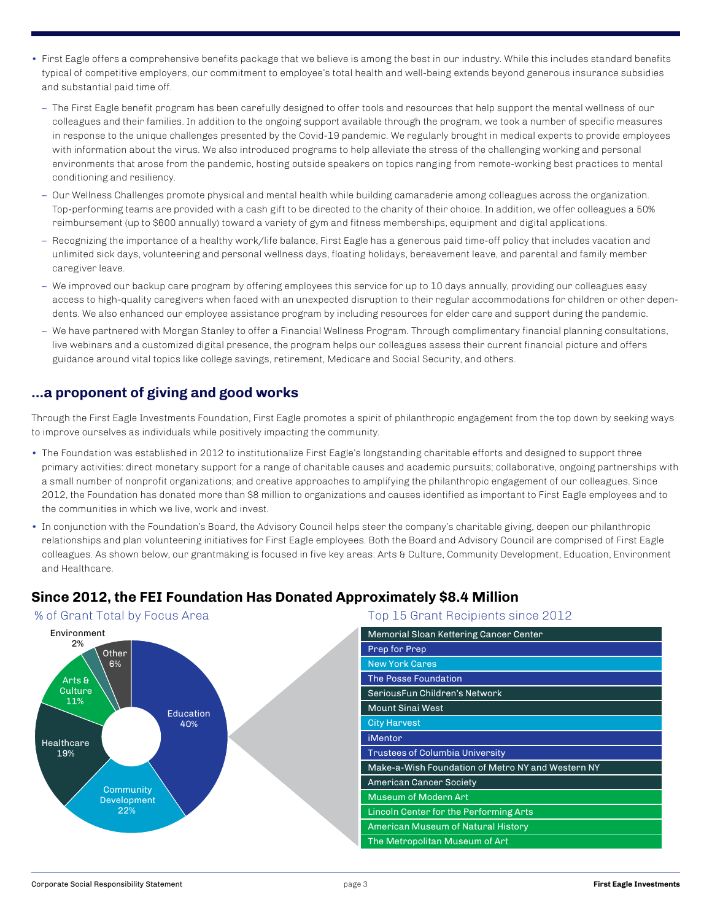- First Eagle offers a comprehensive benefits package that we believe is among the best in our industry. While this includes standard benefits typical of competitive employers, our commitment to employee's total health and well-being extends beyond generous insurance subsidies and substantial paid time off.
	- The First Eagle benefit program has been carefully designed to offer tools and resources that help support the mental wellness of our colleagues and their families. In addition to the ongoing support available through the program, we took a number of specific measures in response to the unique challenges presented by the Covid-19 pandemic. We regularly brought in medical experts to provide employees with information about the virus. We also introduced programs to help alleviate the stress of the challenging working and personal environments that arose from the pandemic, hosting outside speakers on topics ranging from remote-working best practices to mental conditioning and resiliency.
	- Our Wellness Challenges promote physical and mental health while building camaraderie among colleagues across the organization. Top-performing teams are provided with a cash gift to be directed to the charity of their choice. In addition, we offer colleagues a 50% reimbursement (up to \$600 annually) toward a variety of gym and fitness memberships, equipment and digital applications.
	- Recognizing the importance of a healthy work/life balance, First Eagle has a generous paid time-off policy that includes vacation and unlimited sick days, volunteering and personal wellness days, floating holidays, bereavement leave, and parental and family member caregiver leave.
	- We improved our backup care program by offering employees this service for up to 10 days annually, providing our colleagues easy access to high-quality caregivers when faced with an unexpected disruption to their regular accommodations for children or other dependents. We also enhanced our employee assistance program by including resources for elder care and support during the pandemic.
	- We have partnered with Morgan Stanley to offer a Financial Wellness Program. Through complimentary financial planning consultations, live webinars and a customized digital presence, the program helps our colleagues assess their current financial picture and offers guidance around vital topics like college savings, retirement, Medicare and Social Security, and others.

#### **…a proponent of giving and good works**

Through the First Eagle Investments Foundation, First Eagle promotes a spirit of philanthropic engagement from the top down by seeking ways to improve ourselves as individuals while positively impacting the community.

- The Foundation was established in 2012 to institutionalize First Eagle's longstanding charitable efforts and designed to support three primary activities: direct monetary support for a range of charitable causes and academic pursuits; collaborative, ongoing partnerships with a small number of nonprofit organizations; and creative approaches to amplifying the philanthropic engagement of our colleagues. Since 2012, the Foundation has donated more than \$8 million to organizations and causes identified as important to First Eagle employees and to the communities in which we live, work and invest.
- In conjunction with the Foundation's Board, the Advisory Council helps steer the company's charitable giving, deepen our philanthropic relationships and plan volunteering initiatives for First Eagle employees. Both the Board and Advisory Council are comprised of First Eagle colleagues. As shown below, our grantmaking is focused in five key areas: Arts & Culture, Community Development, Education, Environment and Healthcare.

#### **Since 2012, the FEI Foundation Has Donated Approximately \$8.4 Million**



| Memorial Sloan Kettering Cancer Center            |
|---------------------------------------------------|
| Prep for Prep                                     |
| <b>New York Cares</b>                             |
| The Posse Foundation                              |
| SeriousFun Children's Network                     |
| <b>Mount Sinai West</b>                           |
| <b>City Harvest</b>                               |
| iMentor                                           |
| Trustees of Columbia University                   |
| Make-a-Wish Foundation of Metro NY and Western NY |
| <b>American Cancer Society</b>                    |
| Museum of Modern Art                              |
| Lincoln Center for the Performing Arts            |
| <b>American Museum of Natural History</b>         |
| The Metropolitan Museum of Art                    |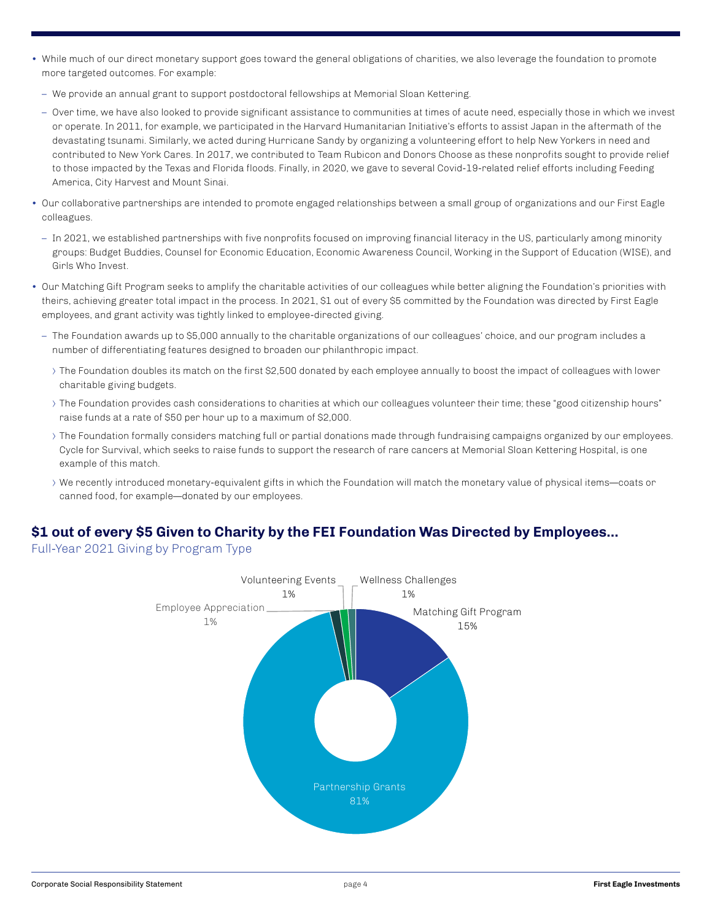- While much of our direct monetary support goes toward the general obligations of charities, we also leverage the foundation to promote more targeted outcomes. For example:
	- We provide an annual grant to support postdoctoral fellowships at Memorial Sloan Kettering.
	- Over time, we have also looked to provide significant assistance to communities at times of acute need, especially those in which we invest or operate. In 2011, for example, we participated in the Harvard Humanitarian Initiative's efforts to assist Japan in the aftermath of the devastating tsunami. Similarly, we acted during Hurricane Sandy by organizing a volunteering effort to help New Yorkers in need and contributed to New York Cares. In 2017, we contributed to Team Rubicon and Donors Choose as these nonprofits sought to provide relief to those impacted by the Texas and Florida floods. Finally, in 2020, we gave to several Covid-19-related relief efforts including Feeding America, City Harvest and Mount Sinai.
- Our collaborative partnerships are intended to promote engaged relationships between a small group of organizations and our First Eagle colleagues.
	- In 2021, we established partnerships with five nonprofits focused on improving financial literacy in the US, particularly among minority groups: Budget Buddies, Counsel for Economic Education, Economic Awareness Council, Working in the Support of Education (WISE), and Girls Who Invest.
- Our Matching Gift Program seeks to amplify the charitable activities of our colleagues while better aligning the Foundation's priorities with theirs, achieving greater total impact in the process. In 2021, \$1 out of every \$5 committed by the Foundation was directed by First Eagle employees, and grant activity was tightly linked to employee-directed giving.
	- The Foundation awards up to \$5,000 annually to the charitable organizations of our colleagues' choice, and our program includes a number of differentiating features designed to broaden our philanthropic impact.
		- ⟩ The Foundation doubles its match on the first \$2,500 donated by each employee annually to boost the impact of colleagues with lower charitable giving budgets.
		- ⟩ The Foundation provides cash considerations to charities at which our colleagues volunteer their time; these "good citizenship hours" raise funds at a rate of \$50 per hour up to a maximum of \$2,000.
		- ⟩ The Foundation formally considers matching full or partial donations made through fundraising campaigns organized by our employees. Cycle for Survival, which seeks to raise funds to support the research of rare cancers at Memorial Sloan Kettering Hospital, is one example of this match.
		- ⟩ We recently introduced monetary-equivalent gifts in which the Foundation will match the monetary value of physical items—coats or canned food, for example—donated by our employees.

### **\$1 out of every \$5 Given to Charity by the FEI Foundation Was Directed by Employees...**

Full-Year 2021 Giving by Program Type